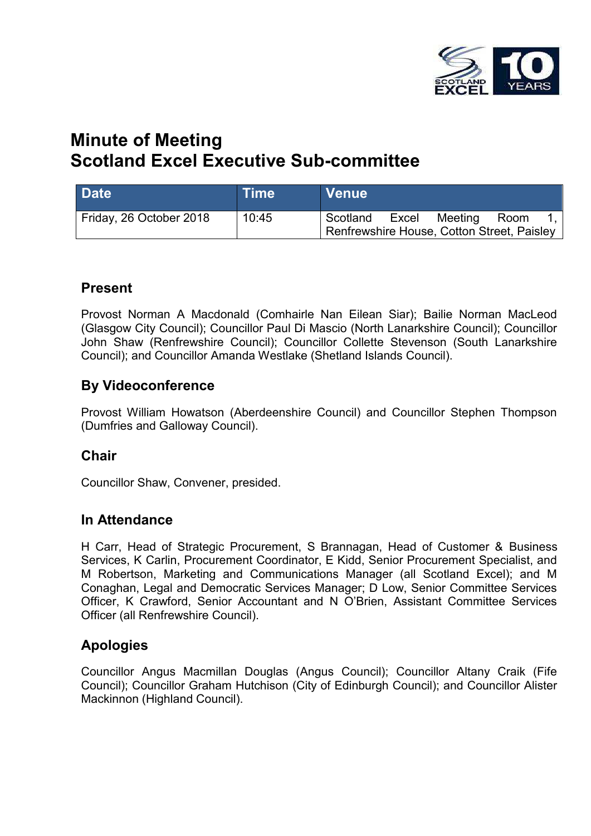

# **Minute of Meeting Scotland Excel Executive Sub-committee**

| <b>Date</b>             | <b>Time</b> | <b>Venue</b>                                           |       |         |      |  |
|-------------------------|-------------|--------------------------------------------------------|-------|---------|------|--|
| Friday, 26 October 2018 | 10:45       | Scotland<br>Renfrewshire House, Cotton Street, Paisley | Excel | Meeting | Room |  |

### **Present**

Provost Norman A Macdonald (Comhairle Nan Eilean Siar); Bailie Norman MacLeod (Glasgow City Council); Councillor Paul Di Mascio (North Lanarkshire Council); Councillor John Shaw (Renfrewshire Council); Councillor Collette Stevenson (South Lanarkshire Council); and Councillor Amanda Westlake (Shetland Islands Council).

### **By Videoconference**

Provost William Howatson (Aberdeenshire Council) and Councillor Stephen Thompson (Dumfries and Galloway Council).

### **Chair**

Councillor Shaw, Convener, presided.

#### **In Attendance**

H Carr, Head of Strategic Procurement, S Brannagan, Head of Customer & Business Services, K Carlin, Procurement Coordinator, E Kidd, Senior Procurement Specialist, and M Robertson, Marketing and Communications Manager (all Scotland Excel); and M Conaghan, Legal and Democratic Services Manager; D Low, Senior Committee Services Officer, K Crawford, Senior Accountant and N O'Brien, Assistant Committee Services Officer (all Renfrewshire Council).

### **Apologies**

Councillor Angus Macmillan Douglas (Angus Council); Councillor Altany Craik (Fife Council); Councillor Graham Hutchison (City of Edinburgh Council); and Councillor Alister Mackinnon (Highland Council).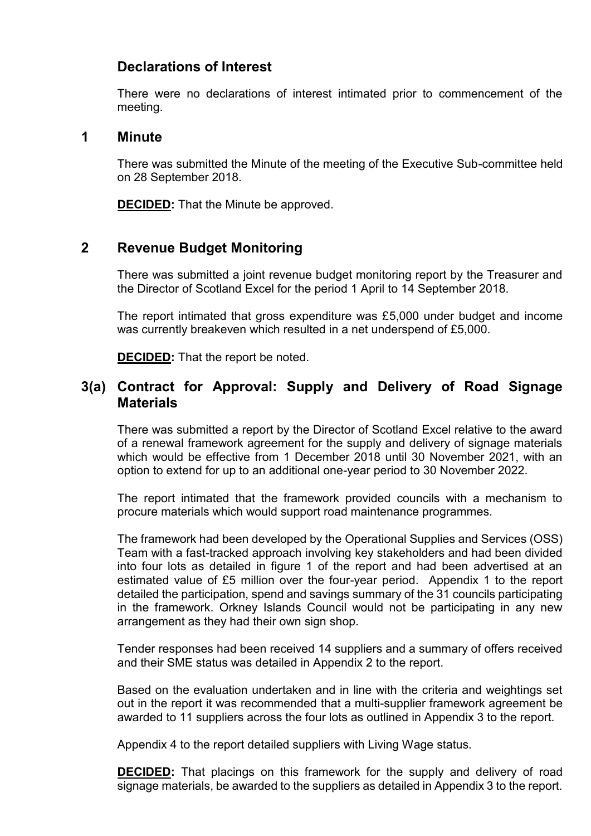# **Declarations of Interest**

There were no declarations of interest intimated prior to commencement of the meeting.

#### **1 Minute**

There was submitted the Minute of the meeting of the Executive Sub-committee held on 28 September 2018.

**DECIDED:** That the Minute be approved.

### **2 Revenue Budget Monitoring**

There was submitted a joint revenue budget monitoring report by the Treasurer and the Director of Scotland Excel for the period 1 April to 14 September 2018.

The report intimated that gross expenditure was £5,000 under budget and income was currently breakeven which resulted in a net underspend of £5,000.

**DECIDED:** That the report be noted.

## **3(a) Contract for Approval: Supply and Delivery of Road Signage Materials**

There was submitted a report by the Director of Scotland Excel relative to the award of a renewal framework agreement for the supply and delivery of signage materials which would be effective from 1 December 2018 until 30 November 2021, with an option to extend for up to an additional one-year period to 30 November 2022.

The report intimated that the framework provided councils with a mechanism to procure materials which would support road maintenance programmes.

The framework had been developed by the Operational Supplies and Services (OSS) Team with a fast-tracked approach involving key stakeholders and had been divided into four lots as detailed in figure 1 of the report and had been advertised at an estimated value of £5 million over the four-year period. Appendix 1 to the report detailed the participation, spend and savings summary of the 31 councils participating in the framework. Orkney Islands Council would not be participating in any new arrangement as they had their own sign shop.

Tender responses had been received 14 suppliers and a summary of offers received and their SME status was detailed in Appendix 2 to the report.

Based on the evaluation undertaken and in line with the criteria and weightings set out in the report it was recommended that a multi-supplier framework agreement be awarded to 11 suppliers across the four lots as outlined in Appendix 3 to the report.

Appendix 4 to the report detailed suppliers with Living Wage status.

**DECIDED:** That placings on this framework for the supply and delivery of road signage materials, be awarded to the suppliers as detailed in Appendix 3 to the report.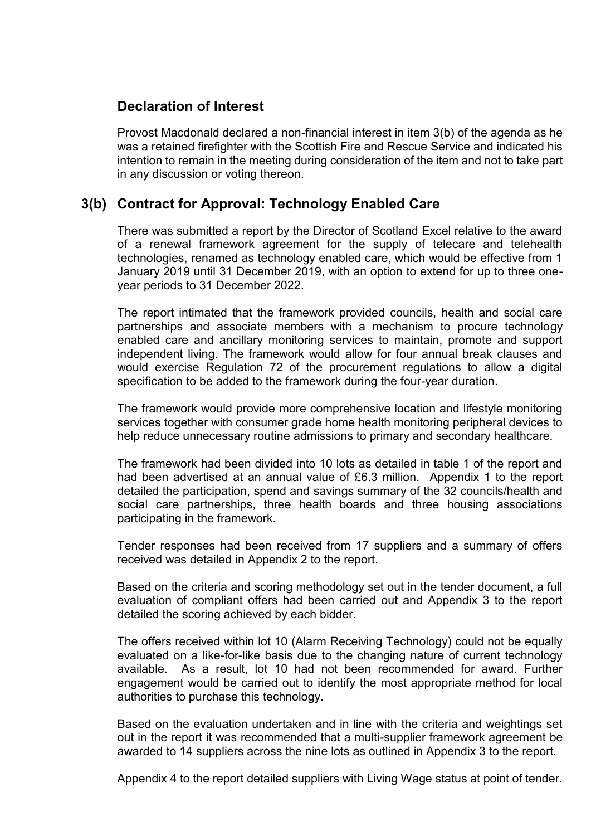# **Declaration of Interest**

Provost Macdonald declared a non-financial interest in item 3(b) of the agenda as he was a retained firefighter with the Scottish Fire and Rescue Service and indicated his intention to remain in the meeting during consideration of the item and not to take part in any discussion or voting thereon.

# **3(b) Contract for Approval: Technology Enabled Care**

There was submitted a report by the Director of Scotland Excel relative to the award of a renewal framework agreement for the supply of telecare and telehealth technologies, renamed as technology enabled care, which would be effective from 1 January 2019 until 31 December 2019, with an option to extend for up to three oneyear periods to 31 December 2022.

The report intimated that the framework provided councils, health and social care partnerships and associate members with a mechanism to procure technology enabled care and ancillary monitoring services to maintain, promote and support independent living. The framework would allow for four annual break clauses and would exercise Regulation 72 of the procurement regulations to allow a digital specification to be added to the framework during the four-year duration.

The framework would provide more comprehensive location and lifestyle monitoring services together with consumer grade home health monitoring peripheral devices to help reduce unnecessary routine admissions to primary and secondary healthcare.

The framework had been divided into 10 lots as detailed in table 1 of the report and had been advertised at an annual value of £6.3 million. Appendix 1 to the report detailed the participation, spend and savings summary of the 32 councils/health and social care partnerships, three health boards and three housing associations participating in the framework.

Tender responses had been received from 17 suppliers and a summary of offers received was detailed in Appendix 2 to the report.

Based on the criteria and scoring methodology set out in the tender document, a full evaluation of compliant offers had been carried out and Appendix 3 to the report detailed the scoring achieved by each bidder.

The offers received within lot 10 (Alarm Receiving Technology) could not be equally evaluated on a like-for-like basis due to the changing nature of current technology available. As a result, lot 10 had not been recommended for award. Further engagement would be carried out to identify the most appropriate method for local authorities to purchase this technology.

Based on the evaluation undertaken and in line with the criteria and weightings set out in the report it was recommended that a multi-supplier framework agreement be awarded to 14 suppliers across the nine lots as outlined in Appendix 3 to the report.

Appendix 4 to the report detailed suppliers with Living Wage status at point of tender.